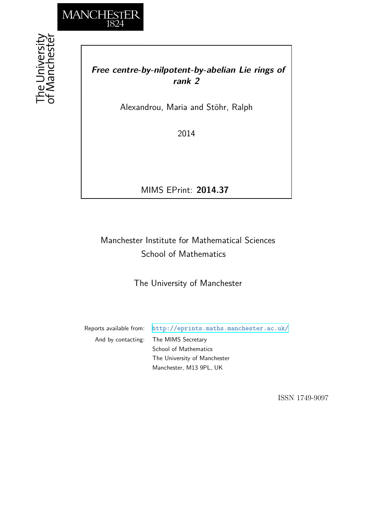

he University<br>f Mancheste

# *Free centre-by-nilpotent-by-abelian Lie rings of rank 2*

Alexandrou, Maria and Stöhr, Ralph

2014

MIMS EPrint: **2014.37**

# Manchester Institute for Mathematical Sciences School of Mathematics

The University of Manchester

Reports available from: <http://eprints.maths.manchester.ac.uk/> And by contacting: The MIMS Secretary School of Mathematics The University of Manchester Manchester, M13 9PL, UK

ISSN 1749-9097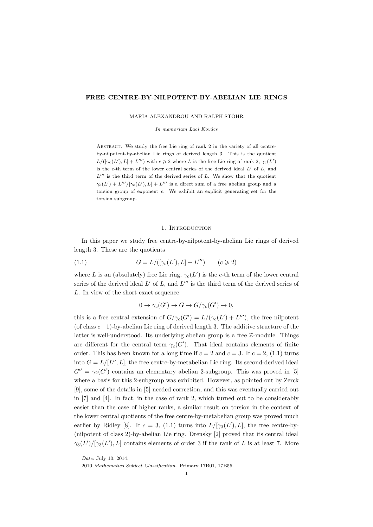# **FREE CENTRE-BY-NILPOTENT-BY-ABELIAN LIE RINGS**

MARIA ALEXANDROU AND RALPH STÖHR

*In memoriam Laci Kovács* 

Abstract. We study the free Lie ring of rank 2 in the variety of all centreby-nilpotent-by-abelian Lie rings of derived length 3. This is the quotient  $L/([\gamma_c(L'), L] + L''')$  with  $c \geq 2$  where *L* is the free Lie ring of rank 2,  $\gamma_c(L')$ is the *c*-th term of the lower central series of the derived ideal *L′* of *L*, and  $L^{\prime\prime\prime}$  is the third term of the derived series of *L*. We show that the quotient  $\gamma_c(L') + L'''/[\gamma_c(L'), L] + L'''$  is a direct sum of a free abelian group and a torsion group of exponent *c*. We exhibit an explicit generating set for the torsion subgroup.

#### 1. INTRODUCTION

In this paper we study free centre-by-nilpotent-by-abelian Lie rings of derived length 3. These are the quotients

(1.1) 
$$
G = L/([\gamma_c(L'), L] + L''') \qquad (c \geq 2)
$$

where *L* is an (absolutely) free Lie ring,  $\gamma_c(L')$  is the *c*-th term of the lower central series of the derived ideal  $L'$  of  $L$ , and  $L'''$  is the third term of the derived series of *L*. In view of the short exact sequence

$$
0 \to \gamma_c(G') \to G \to G/\gamma_c(G') \to 0,
$$

this is a free central extension of  $G/\gamma_c(G') = L/(\gamma_c(L') + L''')$ , the free nilpotent (of class *c−*1)-by-abelian Lie ring of derived length 3. The additive structure of the latter is well-understood. Its underlying abelian group is a free Z-module. Things are different for the central term  $\gamma_c(G')$ . That ideal contains elements of finite order. This has been known for a long time if  $c = 2$  and  $c = 3$ . If  $c = 2$ , (1.1) turns into  $G = L/[L'', L]$ , the free centre-by-metabelian Lie ring. Its second-derived ideal  $G'' = \gamma_2(G')$  contains an elementary abelian 2-subgroup. This was proved in [5] where a basis for this 2-subgroup was exhibited. However, as pointed out by Zerck [9], some of the details in [5] needed correction, and this was eventually carried out in [7] and [4]. In fact, in the case of rank 2, which turned out to be considerably easier than the case of higher ranks, a similar result on torsion in the context of the lower central quotients of the free centre-by-metabelian group was proved much earlier by Ridley [8]. If  $c = 3$ , (1.1) turns into  $L/[\gamma_3(L'), L]$ , the free centre-by-(nilpotent of class 2)-by-abelian Lie ring. Drensky [2] proved that its central ideal  $\gamma_3(L')/[\gamma_3(L'), L]$  contains elements of order 3 if the rank of *L* is at least 7. More

*Date*: July 10, 2014.

<sup>2010</sup> *Mathematics Subject Classification.* Primary 17B01, 17B55.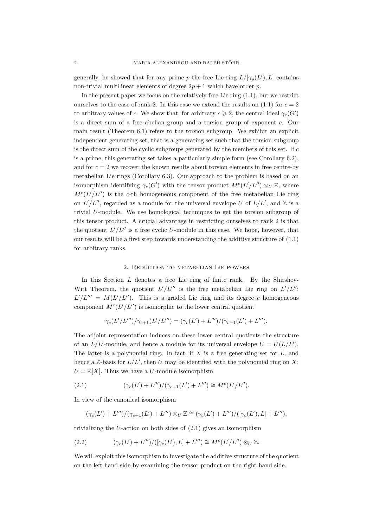generally, he showed that for any prime *p* the free Lie ring  $L/[\gamma_p(L'), L]$  contains non-trivial multilinear elements of degree  $2p + 1$  which have order p.

In the present paper we focus on the relatively free Lie ring (1.1), but we restrict ourselves to the case of rank 2. In this case we extend the results on  $(1.1)$  for  $c = 2$ to arbitrary values of *c*. We show that, for arbitrary  $c \geq 2$ , the central ideal  $\gamma_c(G')$ is a direct sum of a free abelian group and a torsion group of exponent *c*. Our main result (Theorem 6.1) refers to the torsion subgroup. We exhibit an explicit independent generating set, that is a generating set such that the torsion subgroup is the direct sum of the cyclic subgroups generated by the members of this set. If *c* is a prime, this generating set takes a particularly simple form (see Corollary 6.2), and for  $c = 2$  we recover the known results about torsion elements in free centre-by metabelian Lie rings (Corollary 6.3). Our approach to the problem is based on an isomorphism identifying  $\gamma_c(G')$  with the tensor product  $M^c(L'/L'') \otimes_U \mathbb{Z}$ , where  $M<sup>c</sup>(L'/L'')$  is the *c*-th homogeneous component of the free metabelian Lie ring on  $L'/L''$ , regarded as a module for the universal envelope *U* of  $L/L'$ , and  $\mathbb{Z}$  is a trivial *U*-module. We use homological techniques to get the torsion subgroup of this tensor product. A crucial advantage in restricting ourselves to rank 2 is that the quotient  $L'/L''$  is a free cyclic *U*-module in this case. We hope, however, that our results will be a first step towards understanding the additive structure of (1.1) for arbitrary ranks.

# 2. Reduction to metabelian Lie powers

In this Section *L* denotes a free Lie ring of finite rank. By the Shirshov-Witt Theorem, the quotient  $L'/L'''$  is the free metabelian Lie ring on  $L'/L''$ :  $L'/L''' = M(L'/L'')$ . This is a graded Lie ring and its degree *c* homogeneous component  $M<sup>c</sup>(L'/L'')$  is isomorphic to the lower central quotient

$$
\gamma_c(L'/L''')/\gamma_{c+1}(L'/L''') = (\gamma_c(L') + L''')/(\gamma_{c+1}(L') + L''').
$$

The adjoint representation induces on these lower central quotients the structure of an  $L/L'$ -module, and hence a module for its universal envelope  $U = U(L/L')$ . The latter is a polynomial ring. In fact, if *X* is a free generating set for *L*, and hence a Z-basis for *L/L′* , then *U* may be identified with the polynomial ring on *X*:  $U = \mathbb{Z}[X]$ . Thus we have a *U*-module isomorphism

(2.1) 
$$
(\gamma_c(L') + L''')/(\gamma_{c+1}(L') + L''') \cong M^c(L'/L'').
$$

In view of the canonical isomorphism

$$
(\gamma_c(L')+L''')/(\gamma_{c+1}(L')+L''')\otimes_U\mathbb{Z}\cong (\gamma_c(L')+L''')/([\gamma_c(L'),L]+L'''),
$$

trivializing the *U*-action on both sides of (2.1) gives an isomorphism

(2.2) 
$$
(\gamma_c(L')+L''')/([\gamma_c(L'),L]+L''') \cong M^c(L'/L'') \otimes_U \mathbb{Z}.
$$

We will exploit this isomorphism to investigate the additive structure of the quotient on the left hand side by examining the tensor product on the right hand side.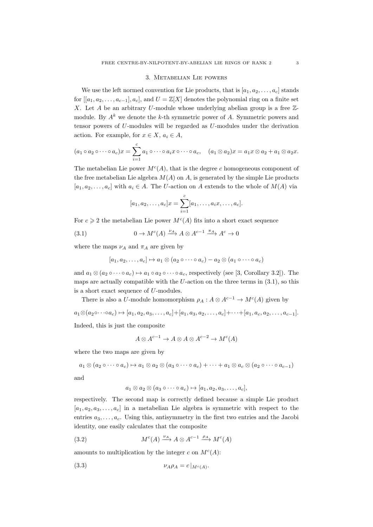## 3. Metabelian Lie powers

We use the left normed convention for Lie products, that is  $[a_1, a_2, \ldots, a_c]$  stands for  $[[a_1, a_2, \ldots, a_{c-1}], a_c]$ , and  $U = \mathbb{Z}[X]$  denotes the polynomial ring on a finite set *X*. Let *A* be an arbitrary *U*-module whose underlying abelian group is a free Zmodule. By  $A^k$  we denote the  $k$ -th symmetric power of  $A$ . Symmetric powers and tensor powers of *U*-modules will be regarded as *U*-modules under the derivation action. For example, for  $x \in X$ ,  $a_i \in A$ ,

$$
(a_1 \circ a_2 \circ \cdots \circ a_c)x = \sum_{i=1}^c a_1 \circ \cdots \circ a_i x \circ \cdots \circ a_c, \quad (a_1 \otimes a_2)x = a_1x \otimes a_2 + a_1 \otimes a_2x.
$$

The metabelian Lie power  $M<sup>c</sup>(A)$ , that is the degree *c* homogeneous component of the free metabelian Lie algebra  $M(A)$  on  $A$ , is generated by the simple Lie products  $[a_1, a_2, \ldots, a_c]$  with  $a_i \in A$ . The *U*-action on *A* extends to the whole of  $M(A)$  via

$$
[a_1, a_2, \dots, a_c]x = \sum_{i=1}^c [a_1, \dots, a_i x, \dots, a_c].
$$

For  $c \geq 2$  the metabelian Lie power  $M<sup>c</sup>(A)$  fits into a short exact sequence

(3.1) 
$$
0 \to M^{c}(A) \xrightarrow{\nu_{A}} A \otimes A^{c-1} \xrightarrow{\pi_{A}} A^{c} \to 0
$$

where the maps  $\nu_A$  and  $\pi_A$  are given by

$$
[a_1, a_2, \ldots, a_c] \mapsto a_1 \otimes (a_2 \circ \cdots \circ a_c) - a_2 \otimes (a_1 \circ \cdots \circ a_c)
$$

and  $a_1 \otimes (a_2 \circ \cdots \circ a_c) \mapsto a_1 \circ a_2 \circ \cdots \circ a_c$ , respectively (see [3, Corollary 3.2]). The maps are actually compatible with the *U*-action on the three terms in (3.1), so this is a short exact sequence of *U*-modules.

There is also a *U*-module homomorphism  $\rho_A : A \otimes A^{c-1} \to M^c(A)$  given by  $a_1 \otimes (a_2 \circ \cdots \circ a_c) \mapsto [a_1, a_2, a_3, \ldots, a_c] + [a_1, a_3, a_2, \ldots, a_c] + \cdots + [a_1, a_c, a_2, \ldots, a_{c-1}].$ Indeed, this is just the composite

$$
A \otimes A^{c-1} \to A \otimes A \otimes A^{c-2} \to M^c(A)
$$

where the two maps are given by

$$
a_1 \otimes (a_2 \circ \cdots \circ a_c) \mapsto a_1 \otimes a_2 \otimes (a_3 \circ \cdots \circ a_c) + \cdots + a_1 \otimes a_c \otimes (a_2 \circ \cdots \circ a_{c-1})
$$

and

$$
a_1 \otimes a_2 \otimes (a_3 \circ \cdots \circ a_c) \mapsto [a_1, a_2, a_3, \ldots, a_c],
$$

respectively. The second map is correctly defined because a simple Lie product  $[a_1, a_2, a_3, \ldots, a_c]$  in a metabelian Lie algebra is symmetric with respect to the entries  $a_3, \ldots, a_c$ . Using this, antisymmetry in the first two entries and the Jacobi identity, one easily calculates that the composite

(3.2) 
$$
M^{c}(A) \xrightarrow{\nu_{A}} A \otimes A^{c-1} \xrightarrow{\rho_{A}} M^{c}(A)
$$

amounts to multiplication by the integer  $c$  on  $M<sup>c</sup>(A)$ :

$$
(3.3) \t\t\t \nu_A \rho_A = c|_{M^c(A)}.
$$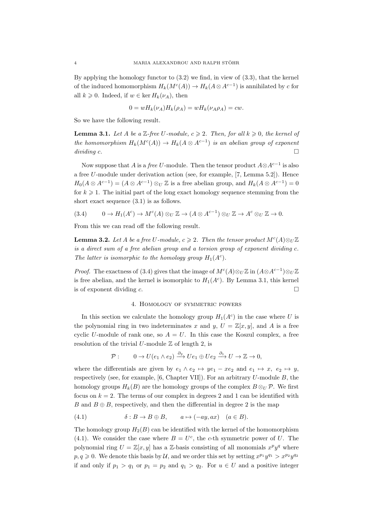By applying the homology functor to (3.2) we find, in view of (3.3), that the kernel of the induced homomorphism  $H_k(M^c(A)) \to H_k(A \otimes A^{c-1})$  is annihilated by *c* for all  $k \geq 0$ . Indeed, if  $w \in \text{ker } H_k(\nu_A)$ , then

$$
0 = wH_k(\nu_A)H_k(\rho_A) = wH_k(\nu_A\rho_A) = cw.
$$

So we have the following result.

**Lemma 3.1.** Let *A* be a Z-free U-module,  $c \geq 2$ . Then, for all  $k \geq 0$ , the kernel of *the homomorphism*  $H_k(M^c(A)) \to H_k(A \otimes A^{c-1})$  *is an abelian group of exponent dividing c*.

Now suppose that *<sup>A</sup>* is a *free <sup>U</sup>*-module. Then the tensor product *<sup>A</sup>⊗A<sup>c</sup>−*<sup>1</sup> is also a free *U*-module under derivation action (see, for example, [7, Lemma 5.2]). Hence  $H_0(A \otimes A^{c-1}) = (A \otimes A^{c-1}) \otimes_U \mathbb{Z}$  is a free abelian group, and  $H_k(A \otimes A^{c-1}) = 0$ for  $k \geq 1$ . The initial part of the long exact homology sequence stemming from the short exact sequence (3.1) is as follows.

$$
(3.4) \qquad 0 \to H_1(A^c) \to M^c(A) \otimes_U \mathbb{Z} \to (A \otimes A^{c-1}) \otimes_U \mathbb{Z} \to A^c \otimes_U \mathbb{Z} \to 0.
$$

From this we can read off the following result.

**Lemma 3.2.** *Let A be a free U-module,*  $c \ge 2$ *. Then the tensor product*  $M^c(A) \otimes_U \mathbb{Z}$ *is a direct sum of a free abelian group and a torsion group of exponent dividing c. The latter is isomorphic to the homology group*  $H_1(A^c)$ *.* 

*Proof.* The exactness of (3.4) gives that the image of  $M^c(A) \otimes_U \mathbb{Z}$  in  $(A \otimes A^{c-1}) \otimes_U \mathbb{Z}$ is free abelian, and the kernel is isomorphic to  $H_1(A<sup>c</sup>)$ . By Lemma 3.1, this kernel is of exponent dividing *c*.

# 4. Homology of symmetric powers

In this section we calculate the homology group  $H_1(A^c)$  in the case where *U* is the polynomial ring in two indeterminates x and y,  $U = \mathbb{Z}[x, y]$ , and A is a free cyclic *U*-module of rank one, so  $A = U$ . In this case the Koszul complex, a free resolution of the trivial  $U$ -module  $\mathbb Z$  of length 2, is

$$
\mathcal{P}: \qquad 0 \to U(e_1 \wedge e_2) \xrightarrow{\partial_2} Ue_1 \oplus Ue_2 \xrightarrow{\partial_1} U \to \mathbb{Z} \to 0,
$$

where the differentials are given by  $e_1 \wedge e_2 \mapsto ye_1 - xe_2$  and  $e_1 \mapsto x$ ,  $e_2 \mapsto y$ , respectively (see, for example, [6, Chapter VII]). For an arbitrary *U*-module *B*, the homology groups  $H_k(B)$  are the homology groups of the complex  $B \otimes_U \mathcal{P}$ . We first focus on  $k = 2$ . The terms of our complex in degrees 2 and 1 can be identified with *B* and  $B \oplus B$ , respectively, and then the differential in degree 2 is the map

(4.1) 
$$
\delta: B \to B \oplus B, \qquad a \mapsto (-ay, ax) \quad (a \in B).
$$

The homology group  $H_2(B)$  can be identified with the kernel of the homomorphism (4.1). We consider the case where  $B = U^c$ , the *c*-th symmetric power of *U*. The polynomial ring  $U = \mathbb{Z}[x, y]$  has a  $\mathbb{Z}$ -basis consisting of all monomials  $x^p y^q$  where  $p, q \ge 0$ . We denote this basis by *U*, and we order this set by setting  $x^{p_1}y^{q_1} > x^{p_2}y^{q_2}$ if and only if  $p_1 > q_1$  or  $p_1 = p_2$  and  $q_1 > q_2$ . For  $u \in U$  and a positive integer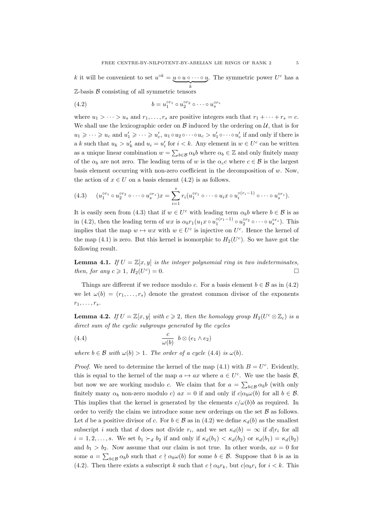*k* it will be convenient to set  $u^{\circ k} = u \circ u \circ \cdots \circ u$ . The symmetric power  $U^c$  has a  $\mathbb{Z}$ -basis  $\mathcal{B}$  consisting of all symmetric tensors

(4.2)  $b = u_1^{\circ r_1} \circ u_2^{\circ r_2} \circ \cdots \circ u_s^{\circ r_s}$ 

where  $u_1 > \cdots > u_s$  and  $r_1, \ldots, r_s$  are positive integers such that  $r_1 + \cdots + r_s = c$ . We shall use the lexicographic order on  $\beta$  induced by the ordering on  $\mathcal{U}$ , that is for  $u_1 \geqslant \cdots \geqslant u_c$  and  $u'_1 \geqslant \cdots \geqslant u'_c$ ,  $u_1 \circ u_2 \circ \cdots \circ u_c > u'_1 \circ \cdots \circ u'_c$  if and only if there is a *k* such that  $u_k > u'_k$  and  $u_i = u'_i$  for  $i < k$ . Any element in  $w \in U^c$  can be written as a unique linear combination  $w = \sum_{b \in \mathcal{B}} \alpha_b b$  where  $\alpha_b \in \mathbb{Z}$  and only finitely many of the  $\alpha_b$  are not zero. The leading term of *w* is the  $\alpha_c c$  where  $c \in \mathcal{B}$  is the largest basis element occurring with non-zero coefficient in the decomposition of *w*. Now, the action of  $x \in U$  on a basis element (4.2) is as follows.

(4.3) 
$$
(u_1^{\circ r_1} \circ u_2^{\circ r_2} \circ \cdots \circ u_s^{\circ r_s})x = \sum_{i=1}^s r_i(u_1^{\circ r_1} \circ \cdots \circ u_i x \circ u_i^{\circ (r_i-1)} \circ \cdots \circ u_s^{\circ r_s}).
$$

It is easily seen from (4.3) that if  $w \in U^c$  with leading term  $\alpha_b b$  where  $b \in \mathcal{B}$  is as in (4.2), then the leading term of  $wx$  is  $\alpha_b r_1(u_1x \circ u_1^{\circ(r_1-1)} \circ u_2^{\circ r_2} \circ \cdots \circ u_s^{\circ r_s})$ . This implies that the map  $w \mapsto wx$  with  $w \in U^c$  is injective on  $U^c$ . Hence the kernel of the map  $(4.1)$  is zero. But this kernel is isomorphic to  $H_2(U^c)$ . So we have got the following result.

**Lemma 4.1.** *If*  $U = \mathbb{Z}[x, y]$  *is the integer polynomial ring in two indeterminates, then, for any*  $c \geq 1$ *, H*<sub>2</sub>(*U*<sup>*c*</sup>  $) = 0.$ 

Things are different if we reduce modulo *c*. For a basis element  $b \in \mathcal{B}$  as in (4.2) we let  $\omega(b) = (r_1, \ldots, r_s)$  denote the greatest common divisor of the exponents  $r_1, \ldots, r_s.$ 

**Lemma 4.2.** *If*  $U = \mathbb{Z}[x, y]$  *with*  $c \ge 2$ *, then the homology group*  $H_2(U^c \otimes \mathbb{Z}_c)$  *is a direct sum of the cyclic subgroups generated by the cycles*

(4.4) 
$$
\frac{c}{\omega(b)} b \otimes (e_1 \wedge e_2)
$$

*where*  $b \in \mathcal{B}$  *with*  $\omega(b) > 1$ *. The order of a cycle* (4.4) *is*  $\omega(b)$ *.* 

*Proof.* We need to determine the kernel of the map  $(4.1)$  with  $B = U^c$ . Evidently, this is equal to the kernel of the map  $a \mapsto ax$  where  $a \in U^c$ . We use the basis  $\mathcal{B}$ , but now we are working modulo *c*. We claim that for  $a = \sum_{b \in \mathcal{B}} \alpha_b b$  (with only finitely many  $\alpha_b$  non-zero modulo *c*)  $ax = 0$  if and only if  $c|a_b\omega(b)$  for all  $b \in \mathcal{B}$ . This implies that the kernel is generated by the elements  $c/\omega(b)b$  as required. In order to verify the claim we introduce some new orderings on the set *B* as follows. Let *d* be a positive divisor of *c*. For  $b \in \mathcal{B}$  as in (4.2) we define  $\kappa_d(b)$  as the smallest subscript *i* such that *d* does not divide  $r_i$ , and we set  $\kappa_d(b) = \infty$  if  $d|r_i$  for all  $i = 1, 2, \ldots, s$ . We set  $b_1 \succ_d b_2$  if and only if  $\kappa_d(b_1) < \kappa_d(b_2)$  or  $\kappa_d(b_1) = \kappa_d(b_2)$ and  $b_1 > b_2$ . Now assume that our claim is not true. In other words,  $ax = 0$  for some  $a = \sum_{b \in \mathcal{B}} \alpha_b b$  such that  $c \nmid \alpha_b \omega(b)$  for some  $b \in \mathcal{B}$ . Suppose that *b* is as in (4.2). Then there exists a subscript *k* such that  $c \nmid \alpha_b r_k$ , but  $c | \alpha_b r_i$  for  $i < k$ . This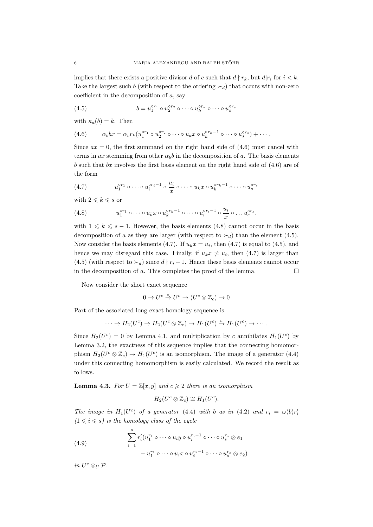implies that there exists a positive divisor *d* of *c* such that  $d \nmid r_k$ , but  $d|r_i$  for  $i < k$ . Take the largest such *b* (with respect to the ordering  $\succ_d$ ) that occurs with non-zero coefficient in the decomposition of *a*, say

(4.5) 
$$
b = u_1^{\circ r_1} \circ u_2^{\circ r_2} \circ \cdots \circ u_k^{\circ r_k} \circ \cdots \circ u_s^{\circ r_s}
$$

with  $\kappa_d(b) = k$ . Then

$$
(4.6) \qquad \alpha_b bx = \alpha_b r_k (u_1^{\circ r_1} \circ u_2^{\circ r_2} \circ \cdots \circ u_k x \circ u_k^{\circ r_k - 1} \circ \cdots \circ u_s^{\circ r_s}) + \cdots
$$

Since  $ax = 0$ , the first summand on the right hand side of  $(4.6)$  must cancel with terms in *ax* stemming from other  $\alpha_b b$  in the decomposition of *a*. The basis elements *b* such that *bx* involves the first basis element on the right hand side of (4.6) are of the form

(4.7) 
$$
u_1^{or_1} \circ \cdots \circ u_i^{or_i-1} \circ \frac{u_i}{x} \circ \cdots \circ u_k x \circ u_k^{or_k-1} \circ \cdots \circ u_s^{or_s}
$$

with  $2 \leqslant k \leqslant s$  or

(4.8) 
$$
u_1^{\circ r_1} \circ \cdots \circ u_k x \circ u_k^{\circ r_k - 1} \circ \cdots \circ u_i^{\circ r_i - 1} \circ \frac{u_i}{x} \circ \ldots u_s^{\circ r_s}.
$$

with  $1 \leq k \leq s - 1$ . However, the basis elements (4.8) cannot occur in the basis decomposition of *a* as they are larger (with respect to  $\succ_d$ ) than the element (4.5). Now consider the basis elements (4.7). If  $u_k x = u_i$ , then (4.7) is equal to (4.5), and hence we may disregard this case. Finally, if  $u_k x \neq u_i$ , then (4.7) is larger than (4.5) (with respect to  $\succ_d$ ) since  $d \nmid r_i - 1$ . Hence these basis elements cannot occur in the decomposition of  $a$ . This completes the proof of the lemma.  $\Box$ 

Now consider the short exact sequence

$$
0 \to U^c \xrightarrow{c} U^c \to (U^c \otimes \mathbb{Z}_c) \to 0
$$

Part of the associated long exact homology sequence is

$$
\cdots \to H_2(U^c) \to H_2(U^c \otimes \mathbb{Z}_c) \to H_1(U^c) \xrightarrow{c} H_1(U^c) \to \cdots
$$

Since  $H_2(U^c) = 0$  by Lemma 4.1, and multiplication by *c* annihilates  $H_1(U^c)$  by Lemma 3.2, the exactness of this sequence implies that the connecting homomorphism  $H_2(U^c \otimes \mathbb{Z}_c) \to H_1(U^c)$  is an isomorphism. The image of a generator (4.4) under this connecting homomorphism is easily calculated. We record the result as follows.

**Lemma 4.3.** *For*  $U = \mathbb{Z}[x, y]$  *and*  $c \ge 2$  *there is an isomorphism* 

$$
H_2(U^c\otimes \mathbb{Z}_c)\cong H_1(U^c).
$$

*The image in*  $H_1(U^c)$  *of a generator* (4.4) *with b as in* (4.2) *and*  $r_i = \omega(b)r_i'$  $(1 \leq i \leq s)$  *is the homology class of the cycle* 

(4.9)  

$$
\sum_{i=1}^{s} r'_i (u_1^{r_1} \circ \cdots \circ u_i y \circ u_i^{r_i-1} \circ \cdots \circ u_s^{r_s} \otimes e_1
$$

$$
- u_1^{r_1} \circ \cdots \circ u_i x \circ u_i^{r_i-1} \circ \cdots \circ u_s^{r_s} \otimes e_2)
$$

 $in U^c \otimes_U \mathcal{P}.$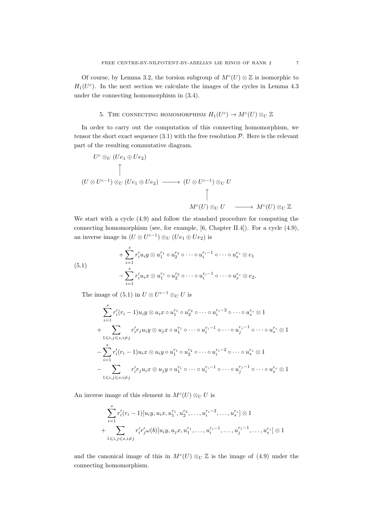Of course, by Lemma 3.2, the torsion subgroup of  $M<sup>c</sup>(U) \otimes \mathbb{Z}$  is isomorphic to  $H_1(U^c)$ . In the next section we calculate the images of the cycles in Lemma 4.3 under the connecting homomorphism in (3.4).

# 5. THE CONNECTING HOMOMORPHISM  $H_1(U^c) \to M^c(U) \otimes_U \mathbb{Z}$

In order to carry out the computation of this connecting homomorphism, we tensor the short exact sequence  $(3.1)$  with the free resolution  $P$ . Here is the relevant part of the resulting commutative diagram.

$$
U^{c} \otimes_{U} (Ue_{1} \oplus Ue_{2})
$$
\n
$$
\uparrow
$$
\n
$$
(U \otimes U^{c-1}) \otimes_{U} (Ue_{1} \oplus Ue_{2}) \longrightarrow (U \otimes U^{c-1}) \otimes_{U} U
$$
\n
$$
\uparrow
$$
\n
$$
M^{c}(U) \otimes_{U} U \longrightarrow M^{c}(U) \otimes_{U} \mathbb{Z}
$$

We start with a cycle (4.9) and follow the standard procedure for computing the connecting homomorphism (see, for example, [6, Chapter II.4]). For a cycle (4.9), an inverse image in  $(U \otimes U^{c-1}) \otimes_U (Ue_1 \oplus Ue_2)$  is

(5.1)  

$$
+\sum_{i=1}^{s} r'_i u_i y \otimes u_1^{r_1} \circ u_2^{r_2} \circ \cdots \circ u_i^{r_i-1} \circ \cdots \circ u_s^{r_s} \otimes e_1
$$

$$
-\sum_{i=1}^{s} r'_i u_i x \otimes u_1^{r_1} \circ u_2^{r_2} \circ \cdots \circ u_i^{r_i-1} \circ \cdots \circ u_s^{r_s} \otimes e_2.
$$

The image of (5.1) in  $U \otimes U^{c-1} \otimes_U U$  is

$$
\sum_{i=1}^{s} r'_i (r_i - 1) u_i y \otimes u_i x \circ u_1^{r_1} \circ u_2^{r_2} \circ \cdots \circ u_i^{r_i - 2} \circ \cdots \circ u_s^{r_s} \otimes 1
$$
  
+ 
$$
\sum_{1 \leq i,j \leq s, i \neq j} r'_i r_j u_i y \otimes u_j x \circ u_1^{r_1} \circ \cdots \circ u_i^{r_i - 1} \circ \cdots \circ u_j^{r_j - 1} \circ \cdots \circ u_s^{r_s} \otimes 1
$$
  
- 
$$
\sum_{i=1}^{s} r'_i (r_i - 1) u_i x \otimes u_i y \circ u_1^{r_1} \circ u_2^{r_2} \circ \cdots \circ u_i^{r_i - 2} \circ \cdots \circ u_s^{r_s} \otimes 1
$$
  
- 
$$
\sum_{1 \leq i,j \leq s, i \neq j} r'_i r_j u_i x \otimes u_j y \circ u_1^{r_1} \circ \cdots \circ u_i^{r_i - 1} \circ \cdots \circ u_j^{r_j - 1} \circ \cdots \circ u_s^{r_s} \otimes 1
$$

An inverse image of this element in  $M<sup>c</sup>(U) \otimes_U U$  is

$$
\sum_{i=1}^{s} r'_i (r_i - 1) [u_i y, u_i x, u_1^{r_1}, u_2^{r_2}, \dots, u_i^{r_i - 2}, \dots, u_s^{r_s}] \otimes 1 + \sum_{1 \leq i, j \leq s, i \neq j} r'_i r'_j \omega(b) [u_i y, u_j x, u_1^{r_1}, \dots, u_i^{r_i - 1}, \dots, u_j^{r_j - 1}, \dots, u_s^{r_s}] \otimes 1
$$

and the canonical image of this in  $M<sup>c</sup>(U) \otimes_U \mathbb{Z}$  is the image of (4.9) under the connecting homomorphism.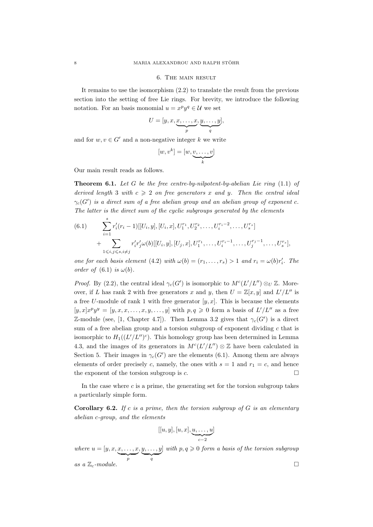# 6. The main result

It remains to use the isomorphism (2.2) to translate the result from the previous section into the setting of free Lie rings. For brevity, we introduce the following notation. For an basis monomial  $u = x^p y^q \in \mathcal{U}$  we set

$$
U = [y, x, \underbrace{x, \dots, x}_{p}, \underbrace{y, \dots, y}_{q}],
$$

and for  $w, v \in G'$  and a non-negative integer  $k$  we write

$$
[w, v^k] = [w, \underbrace{v, \dots, v}_{k}]
$$

Our main result reads as follows.

**Theorem 6.1.** *Let G be the free centre-by-nilpotent-by-abelian Lie ring* (1.1) *of derived length* 3 *with*  $c \geq 2$  *on free generators x and y. Then the central ideal*  $\gamma_c(G')$  is a direct sum of a free abelian group and an abelian group of exponent  $c$ . *The latter is the direct sum of the cyclic subgroups generated by the elements*

(6.1) 
$$
\sum_{i=1}^{s} r'_{i}(r_{i}-1)[[U_{i}, y], [U_{i}, x], U_{1}^{r_{1}}, U_{2}^{r_{2}}, \ldots, U_{i}^{r_{i}-2}, \ldots, U_{s}^{r_{s}}] + \sum_{1 \leqslant i, j \leqslant s, i \neq j} r'_{i} r'_{j} \omega(b)[[U_{i}, y], [U_{j}, x], U_{1}^{r_{1}}, \ldots, U_{i}^{r_{i}-1}, \ldots, U_{j}^{r_{j}-1}, \ldots, U_{s}^{r_{s}}],
$$

*one for each basis element* (4.2) *with*  $\omega(b) = (r_1, \ldots, r_s) > 1$  *and*  $r_i = \omega(b)r'_i$ . The *order of*  $(6.1)$  *is*  $\omega(b)$ *.* 

*Proof.* By (2.2), the central ideal  $\gamma_c(G')$  is isomorphic to  $M^c(L'/L'') \otimes_U \mathbb{Z}$ . Moreover, if *L* has rank 2 with free generators *x* and *y*, then  $U = \mathbb{Z}[x, y]$  and  $L'/L''$  is a free *U*-module of rank 1 with free generator  $[y, x]$ . This is because the elements  $[y, x]x^py^y = [y, x, x, \dots, x, y, \dots, y]$  with  $p, q \geq 0$  form a basis of  $L'/L''$  as a free Z-module (see, [1, Chapter 4.7]). Then Lemma 3.2 gives that  $\gamma_c(G')$  is a direct sum of a free abelian group and a torsion subgroup of exponent dividing *c* that is isomorphic to  $H_1((L'/L'')^c)$ . This homology group has been determined in Lemma 4.3, and the images of its generators in  $M<sup>c</sup>(L'/L'') \otimes \mathbb{Z}$  have been calculated in Section 5. Their images in  $\gamma_c(G')$  are the elements (6.1). Among them are always elements of order precisely *c*, namely, the ones with  $s = 1$  and  $r_1 = c$ , and hence the exponent of the torsion subgroup is  $c$ .

In the case where  $c$  is a prime, the generating set for the torsion subgroup takes a particularly simple form.

**Corollary 6.2.** *If c is a prime, then the torsion subgroup of G is an elementary abelian c-group, and the elements*

$$
[[u, y], [u, x], \underbrace{u, \ldots, u}_{c-2}]
$$

*where*  $u = [y, x, x, \dots, x]$ | {z } *p , y, . . . , y*  $\bigvee_q$  $\int$  *with*  $p, q \geqslant 0$  *form a basis of the torsion subgroup*  $\Box$ *as a*  $\mathbb{Z}_c$ -module.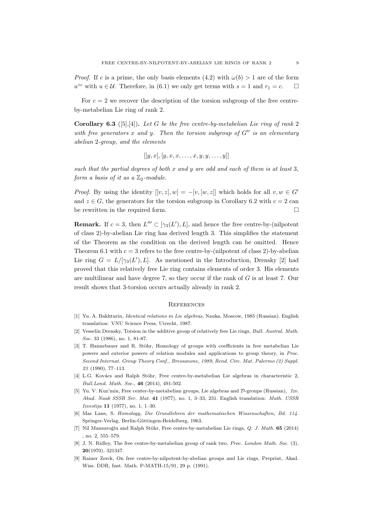*Proof.* If *c* is a prime, the only basis elements (4.2) with  $\omega(b) > 1$  are of the form *u*<sup>○*c*</sup> with *u* ∈ *U*. Therefore, in (6.1) we only get terms with *s* = 1 and *r*<sub>1</sub> = *c*. □

For  $c = 2$  we recover the description of the torsion subgroup of the free centreby-metabelian Lie ring of rank 2.

**Corollary 6.3** ([5],[4])**.** *Let G be the free centre-by-metabelian Lie ring of rank* 2 *with free generators x and y. Then the torsion subgroup of G′′ is an elementary abelian* 2*-group, and the elements*

$$
[[y,x],[y,x,x,\ldots,x,y,y,\ldots,y]]
$$

*such that the partial degrees of both x and y are odd and each of them is at least* 3*, form a basis of it as a*  $\mathbb{Z}_2$ *-module.* 

*Proof.* By using the identity  $[[v, z], w] = -[v, [w, z]]$  which holds for all  $v, w \in G'$ and  $z \in G$ , the generators for the torsion subgroup in Corollary 6.2 with  $c = 2$  can be rewritten in the required form.

**Remark.** If  $c = 3$ , then  $L''' \subset [\gamma_3(L'), L]$ , and hence the free centre-by-(nilpotent of class 2)-by-abelian Lie ring has derived length 3. This simplifies the statement of the Theorem as the condition on the derived length can be omitted. Hence Theorem 6.1 with  $c = 3$  refers to the free centre-by-(nilpotent of class 2)-by-abelian Lie ring  $G = L/[\gamma_3(L'), L]$ . As mentioned in the Introduction, Drensky [2] had proved that this relatively free Lie ring contains elements of order 3. His elements are multilinear and have degree 7, so they occur if the rank of *G* is at least 7. Our result shows that 3-torsion occurs actually already in rank 2.

# **REFERENCES**

- [1] Yu. A. Bakhturin, *Identical relations in Lie algebras,* Nauka, Moscow, 1985 (Russian). English translation: VNU Science Press, Utrecht, 1987.
- [2] Vesselin Drensky, Torsion in the additive group of relatively free Lie rings, *Bull. Austral. Math. Soc.* 33 (1986), no. 1, 81-87.
- [3] T. Hannebauer and R. Stöhr, Homology of groups with coefficients in free metabelian Lie powers and exterior powers of relation modules and applications to group theory, in *Proc. Second Internat. Group Theory Conf., Bressanone, 1989*, *Rend. Circ. Mat. Palermo (2) Suppl. 23* (1990), 77–113.
- [4] L.G. Kovács and Ralph Stöhr, Free centre-by-metabelian Lie algebras in characteristic 2, *Bull.Lond. Math. Soc.*, **46** (2014), 491-502.
- [5] Yu. V. Kuz'min, Free center-by-metabelian groups, Lie algebras and *D*-groups (Russian), *Izv. Akad. Nauk SSSR Ser. Mat.* **41** (1977), no. 1, 3–33, 231. English translation: *Math. USSR Izvestija* **11** (1977), no. 1, 1–30.
- [6] Mac Lane, S. *Homology, Die Grundlehren der mathematischen Wissenschaften, Bd. 114.* Springer-Verlag, Berlin-Göttingen-Heidelberg, 1963.
- [7] Nil Mansuroğlu and Ralph Stöhr, Free centre-by-metabelian Lie rings, *Q. J. Math.* **65** (2014) , no. 2, 555–579.
- [8] J. N. Ridley, The free centre-by-metabelian group of rank two. *Proc. London Math. Soc.* (3), **20**(1970), 321347.
- [9] Rainer Zerck, On free centre-by-nilpotent-by-abelian groups and Lie rings, Preprint, Akad. Wiss. DDR, Inst. Math. P-MATH-15/91, 29 p. (1991).